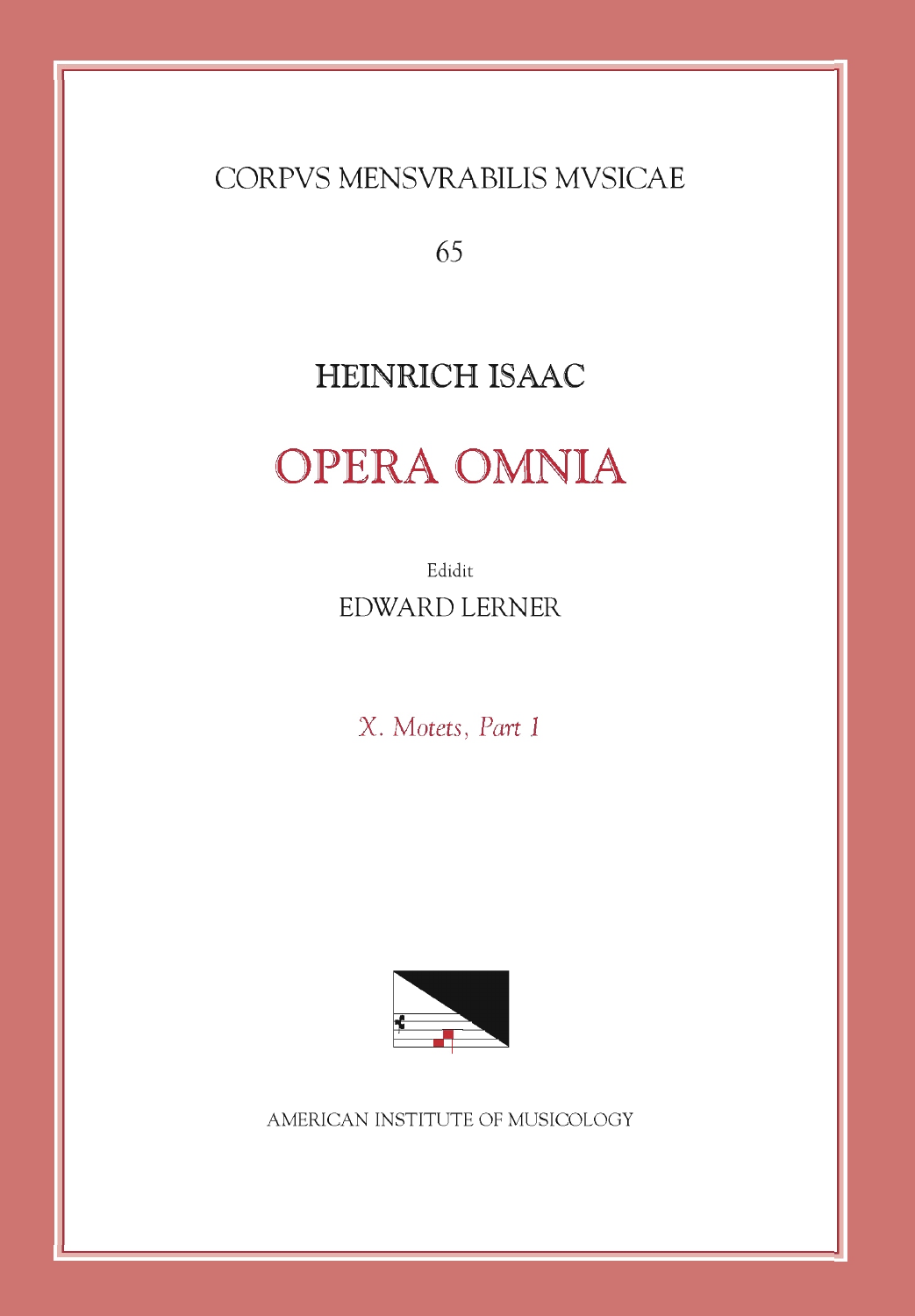CORPVS MENSVRABILIS MVSICAE

65

## HEINRICH ISAAC

## **OPERA OMNIA**

Edidit EDWARD LERNER

X. Motets, Part 1



AMERICAN INSTITUTE OF MUSICOLOGY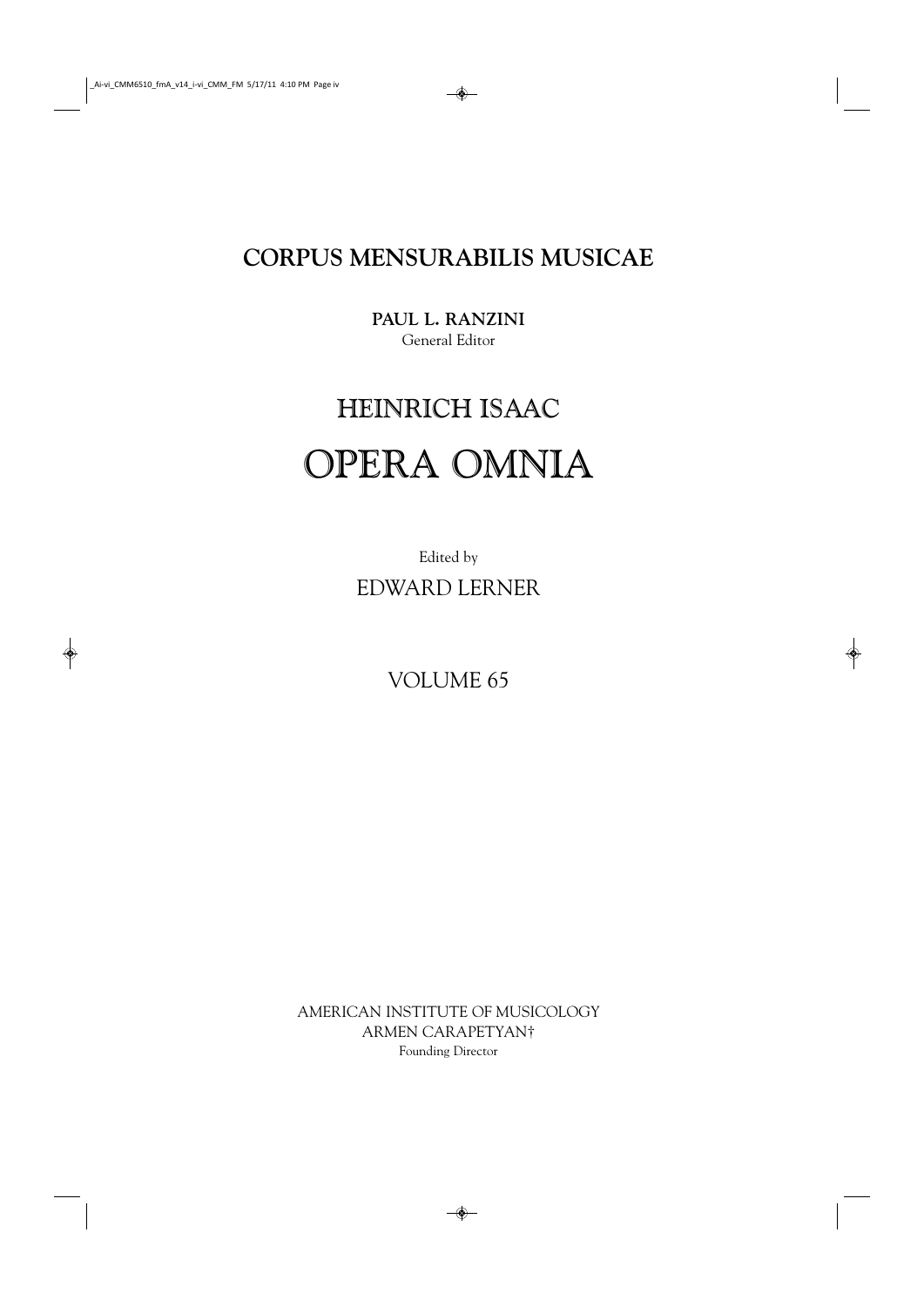**CORPUS MENSURABILIS MUSICAE**

**PAUL L. RANZINI** General Editor

## HEINRICH ISAAC OPERA OMNIA

Edited by EDWARD LERNER

VOLUME 65

AMERICAN INSTITUTE OF MUSICOLOGY ARMEN CARAPETYAN† Founding Director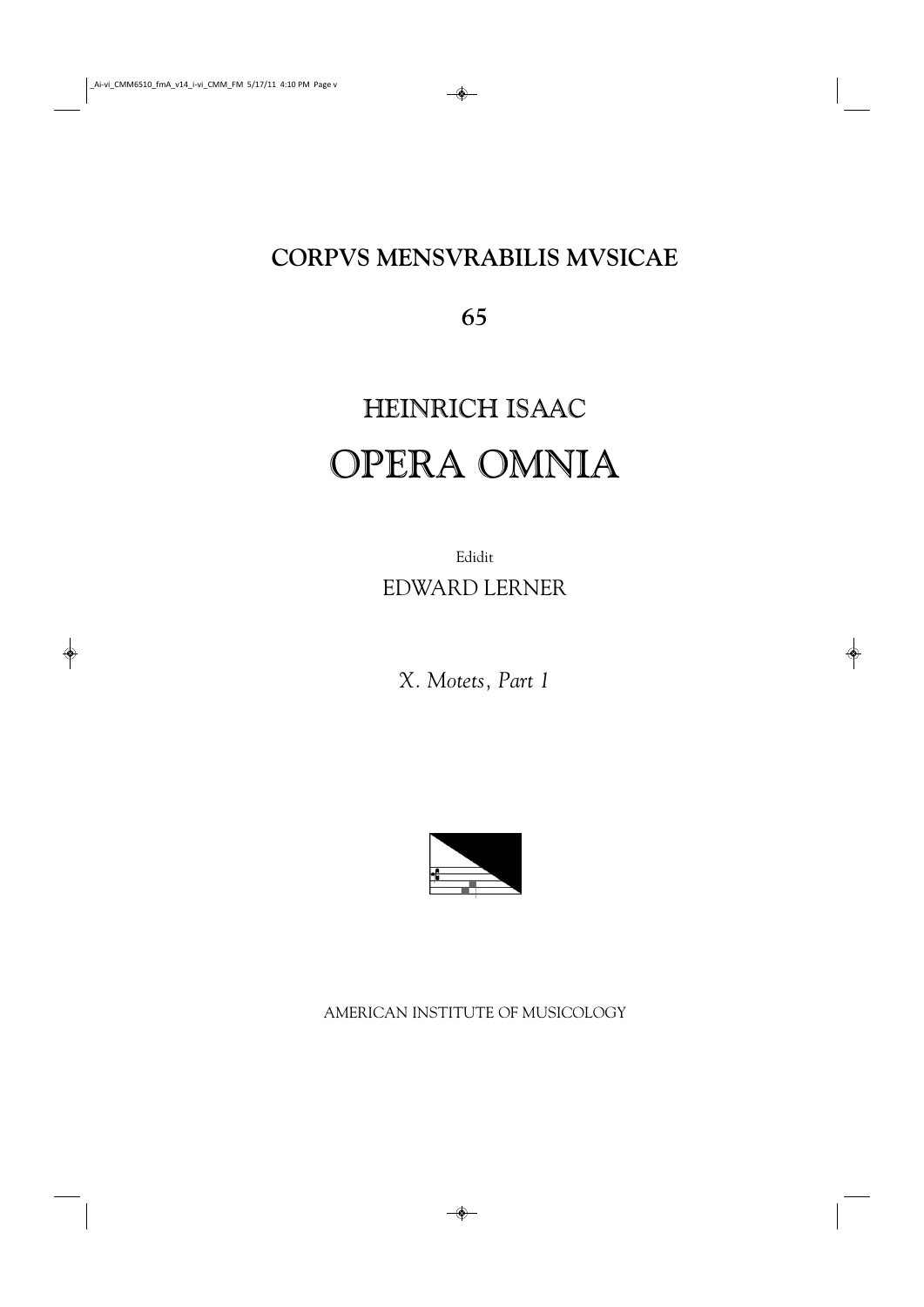## **CORPVS MENSVRABILIS MVSICAE**

**65**

# HEINRICH ISAAC OPERA OMNIA

Edidit EDWARD LERNER

*X. Motets, Part 1*



AMERICAN INSTITUTE OF MUSICOLOGY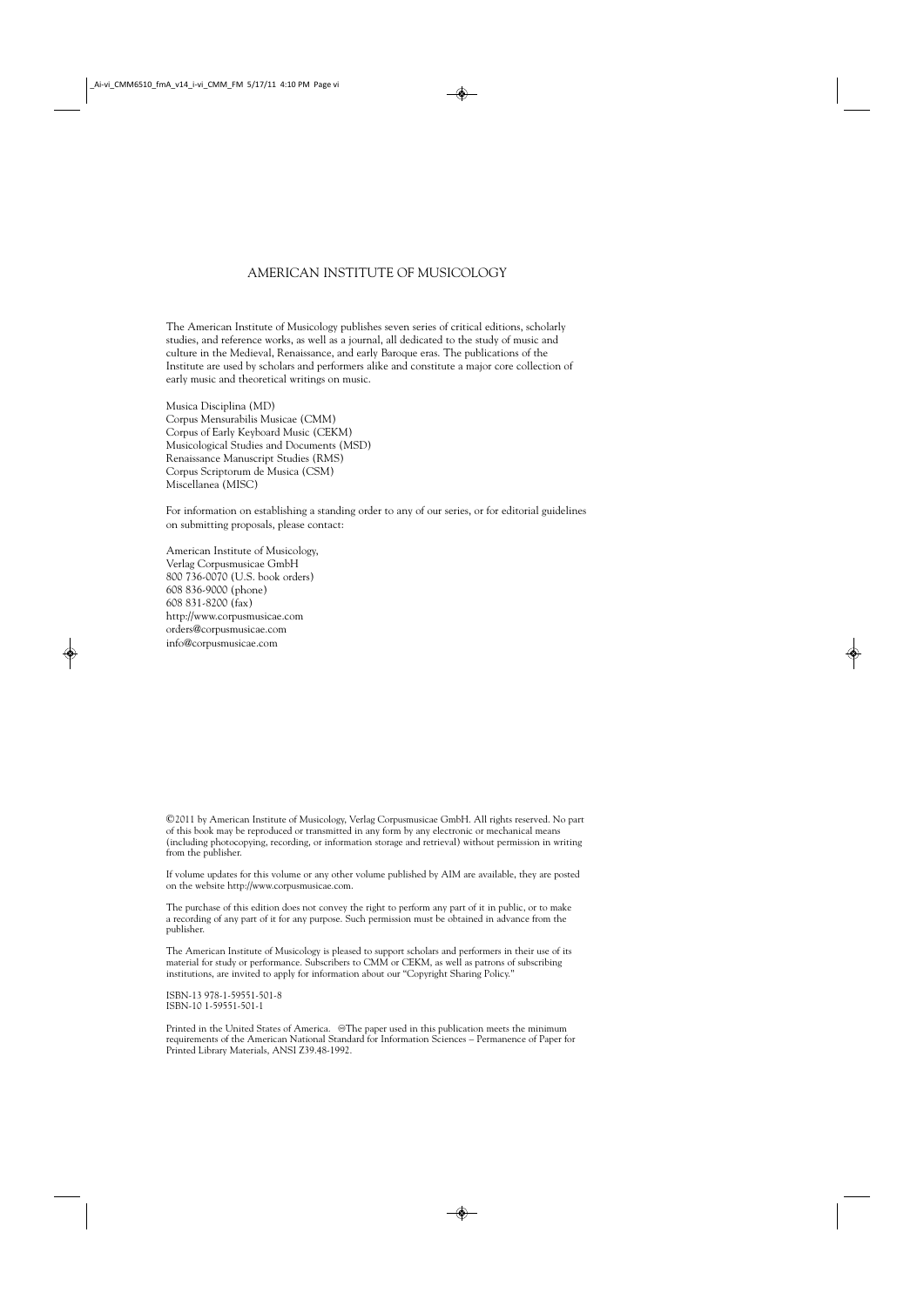## AMERICAN INSTITUTE OF MUSICOLOGY

The American Institute of Musicology publishes seven series of critical editions, scholarly studies, and reference works, as well as a journal, all dedicated to the study of music and culture in the Medieval, Renaissance, and early Baroque eras. The publications of the Institute are used by scholars and performers alike and constitute a major core collection of early music and theoretical writings on music.

Musica Disciplina (MD) Corpus Mensurabilis Musicae (CMM) Corpus of Early Keyboard Music (CEKM) Musicological Studies and Documents (MSD) Renaissance Manuscript Studies (RMS) Corpus Scriptorum de Musica (CSM) Miscellanea (MISC)

For information on establishing a standing order to any of our series, or for editorial guidelines on submitting proposals, please contact:

American Institute of Musicology, Verlag Corpusmusicae GmbH 800 736-0070 (U.S. book orders) 608 836-9000 (phone) 608 831-8200 (fax) http://www.corpusmusicae.com orders@corpusmusicae.com info@corpusmusicae.com

©2011 by American Institute of Musicology, Verlag Corpusmusicae GmbH. All rights reserved. No part of this book may be reproduced or transmitted in any form by any electronic or mechanical means (including photocopying, recording, or information storage and retrieval) without permission in writing from the publisher.

If volume updates for this volume or any other volume published by AIM are available, they are posted on the website http://www.corpusmusicae.com.

The purchase of this edition does not convey the right to perform any part of it in public, or to make a recording of any part of it for any purpose. Such permission must be obtained in advance from the publisher.

The American Institute of Musicology is pleased to support scholars and performers in their use of its material for study or performance. Subscribers to CMM or CEKM, as well as patrons of subscribing institutions, are invited to apply for information about our "Copyright Sharing Policy."

ISBN-13 978-1-59551-501-8 ISBN-10 1-59551-501-1

Printed in the United States of America. @The paper used in this publication meets the minimum requirements of the American National Standard for Information Sciences – Permanence of Paper for Printed Library Materials, ANSI Z39.48-1992.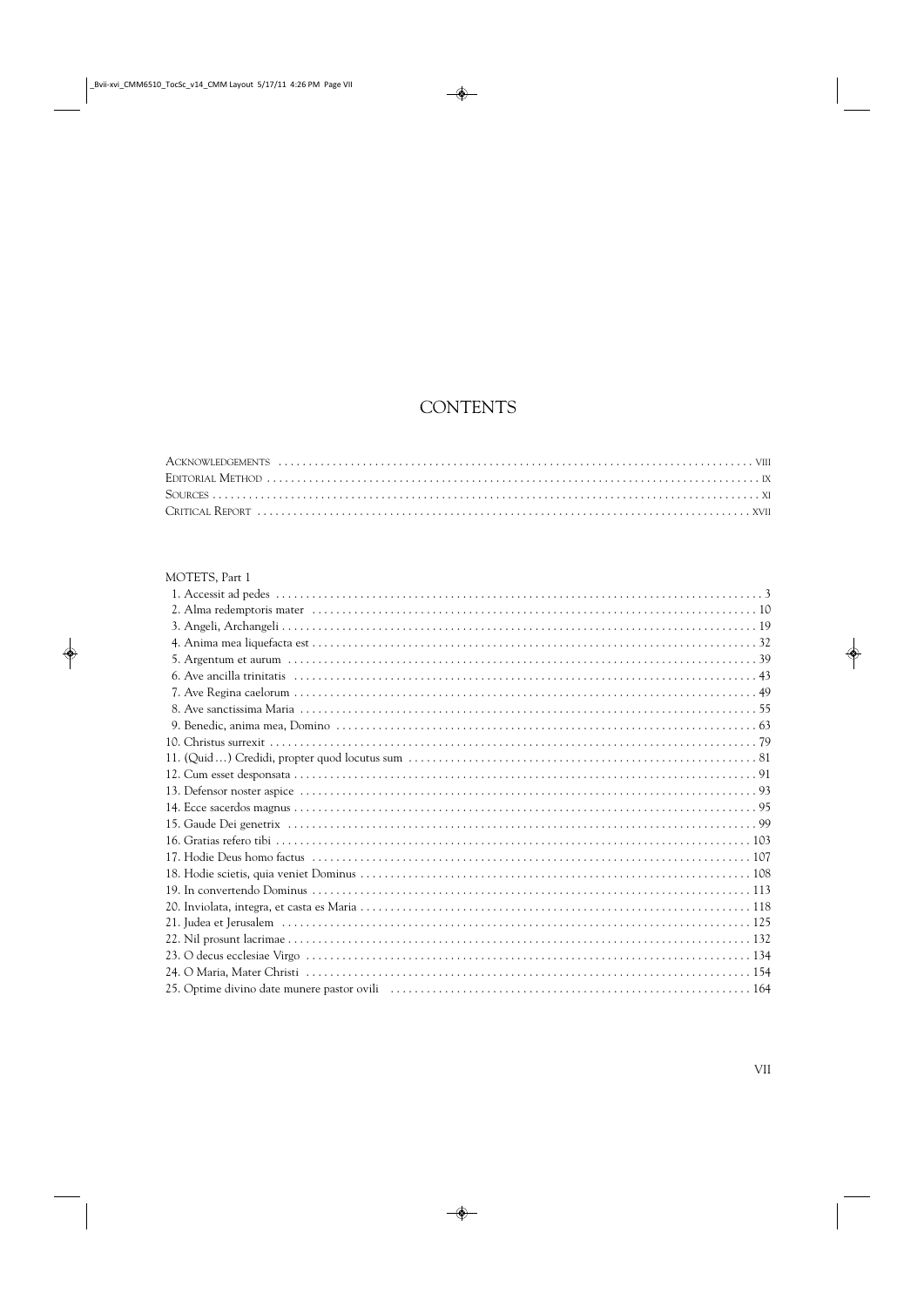## **CONTENTS**

| MOTETS, Part 1 |  |
|----------------|--|
|                |  |
|                |  |
|                |  |
|                |  |
|                |  |
|                |  |
|                |  |
|                |  |
|                |  |
|                |  |
|                |  |
|                |  |
|                |  |
|                |  |
|                |  |
|                |  |
|                |  |
|                |  |
|                |  |
|                |  |
|                |  |
|                |  |
|                |  |
|                |  |
|                |  |
|                |  |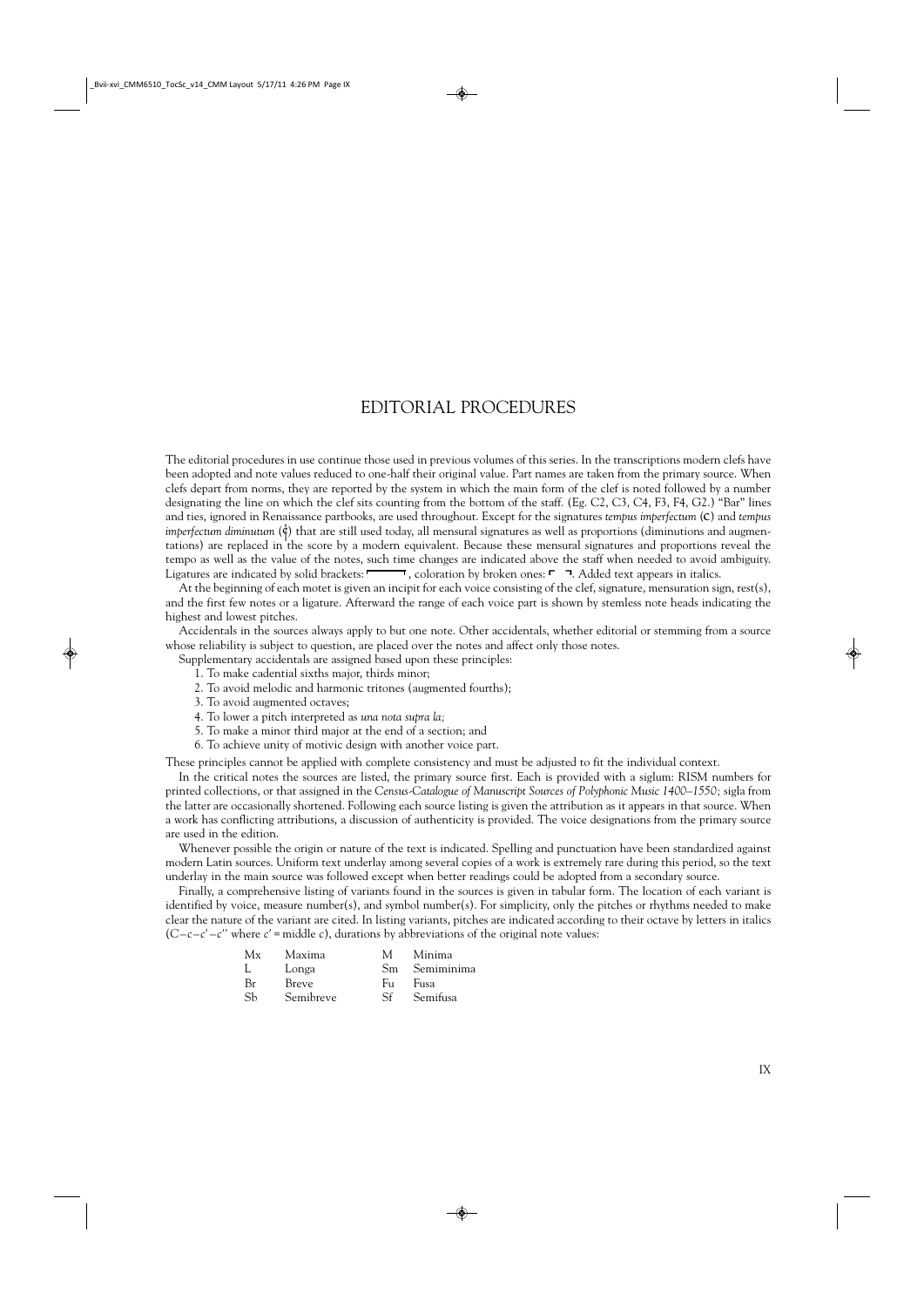## EDITORIAL PROCEDURES

The editorial procedures in use continue those used in previous volumes of this series. In the transcriptions modern clefs have been adopted and note values reduced to one-half their original value. Part names are taken from the primary source. When clefs depart from norms, they are reported by the system in which the main form of the clef is noted followed by a number designating the line on which the clef sits counting from the bottom of the staff. (Eg. C2, C3, C4, F3, F4, G2.) "Bar" lines and ties, ignored in Renaissance partbooks, are used throughout. Except for the signatures *tempus imperfectum* (C) and *tempus imperfectum diminutum* ( $\phi$ ) that are still used today, all mensural signatures as well as proportions (diminutions and augmentations) are replaced in the score by a modern equivalent. Because these mensural signatures and proportions reveal the tempo as well as the value of the notes, such time changes are indicated above the staff when needed to avoid ambiguity. Ligatures are indicated by solid brackets:  $\Box$ , coloration by broken ones:  $\Box$  Added text appears in italics.

At the beginning of each motet is given an incipit for each voice consisting of the clef, signature, mensuration sign, rest(s), and the first few notes or a ligature. Afterward the range of each voice part is shown by stemless note heads indicating the highest and lowest pitches.

Accidentals in the sources always apply to but one note. Other accidentals, whether editorial or stemming from a source whose reliability is subject to question, are placed over the notes and affect only those notes.

Supplementary accidentals are assigned based upon these principles:

- 1. To make cadential sixths major, thirds minor;
- 2. To avoid melodic and harmonic tritones (augmented fourths);
- 3. To avoid augmented octaves;
- 4. To lower a pitch interpreted as *una nota supra la;*
- 5. To make a minor third major at the end of a section; and
- 6. To achieve unity of motivic design with another voice part.

These principles cannot be applied with complete consistency and must be adjusted to fit the individual context.

In the critical notes the sources are listed, the primary source first. Each is provided with a siglum: RISM numbers for printed collections, or that assigned in the *Census-Catalogue of Manuscript Sources of Polyphonic Music 1400–1550;* sigla from the latter are occasionally shortened. Following each source listing is given the attribution as it appears in that source. When a work has conflicting attributions, a discussion of authenticity is provided. The voice designations from the primary source are used in the edition.

Whenever possible the origin or nature of the text is indicated. Spelling and punctuation have been standardized against modern Latin sources. Uniform text underlay among several copies of a work is extremely rare during this period, so the text underlay in the main source was followed except when better readings could be adopted from a secondary source.

Finally, a comprehensive listing of variants found in the sources is given in tabular form. The location of each variant is identified by voice, measure number(s), and symbol number(s). For simplicity, only the pitches or rhythms needed to make clear the nature of the variant are cited. In listing variants, pitches are indicated according to their octave by letters in italics (*C–c–c*′ *–c*′′ where *c*′= middle *c*), durations by abbreviations of the original note values:

| Maxima       | M.  | Minima        |
|--------------|-----|---------------|
| Longa        |     | Sm Semiminima |
| <b>Breve</b> | Fu. | Fusa          |
| Semibreve    | Sf  | Semifusa      |
|              |     |               |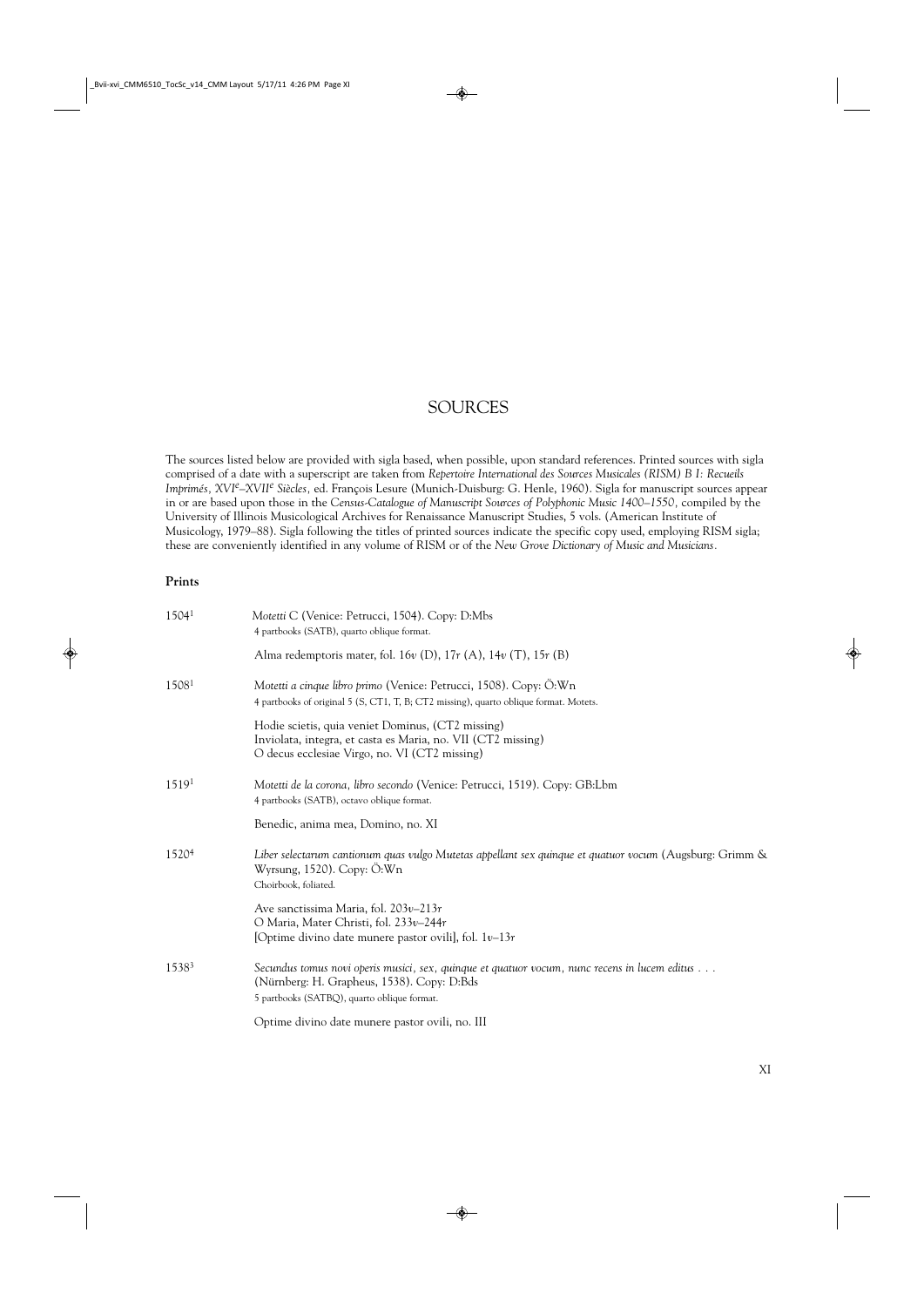## SOURCES

The sources listed below are provided with sigla based, when possible, upon standard references. Printed sources with sigla comprised of a date with a superscript are taken from *Repertoire International des Sources Musicales (RISM) B I: Recueils Imprimés, XVIe–XVIIe Siècles,* ed. François Lesure (Munich-Duisburg: G. Henle, 1960). Sigla for manuscript sources appear in or are based upon those in the *Census-Catalogue of Manuscript Sources of Polyphonic Music 1400–1550,* compiled by the University of Illinois Musicological Archives for Renaissance Manuscript Studies, 5 vols. (American Institute of Musicology, 1979–88). Sigla following the titles of printed sources indicate the specific copy used, employing RISM sigla; these are conveniently identified in any volume of RISM or of the *New Grove Dictionary of Music and Musicians.*

### **Prints**

| 15041             | Motetti C (Venice: Petrucci, 1504). Copy: D:Mbs<br>4 partbooks (SATB), quarto oblique format.                                                                                              |
|-------------------|--------------------------------------------------------------------------------------------------------------------------------------------------------------------------------------------|
|                   | Alma redemptoris mater, fol. 16 $v$ (D), 17 $r$ (A), 14 $v$ (T), 15 $r$ (B)                                                                                                                |
| 15081             | Motetti a cinque libro primo (Venice: Petrucci, 1508). Copy: Ö:Wn<br>4 partbooks of original 5 (S, CT1, T, B; CT2 missing), quarto oblique format. Motets.                                 |
|                   | Hodie scietis, quia veniet Dominus, (CT2 missing)<br>Inviolata, integra, et casta es Maria, no. VII (CT2 missing)<br>O decus ecclesiae Virgo, no. VI (CT2 missing)                         |
| 15191             | Motetti de la corona, libro secondo (Venice: Petrucci, 1519). Copy: GB:Lbm<br>4 partbooks (SATB), octavo oblique format.                                                                   |
|                   | Benedic, anima mea, Domino, no. XI                                                                                                                                                         |
| 1520 <sup>4</sup> | Liber selectarum cantionum quas vulgo Mutetas appellant sex quinque et quatuor vocum (Augsburg: Grimm &<br>Wyrsung, $1520$ ). Copy: $\ddot{O}$ : Wn<br>Choirbook, foliated.                |
|                   | Ave sanctissima Maria, fol. $203v-213r$<br>O Maria, Mater Christi, fol. 233v-244r<br>[Optime divino date munere pastor ovili], fol. $1v-13r$                                               |
| 15383             | Secundus tomus novi operis musici, sex, quinque et quatuor vocum, nunc recens in lucem editus<br>(Nürnberg: H. Grapheus, 1538). Copy: D:Bds<br>5 partbooks (SATBQ), quarto oblique format. |
|                   | Optime divino date munere pastor ovili, no. III                                                                                                                                            |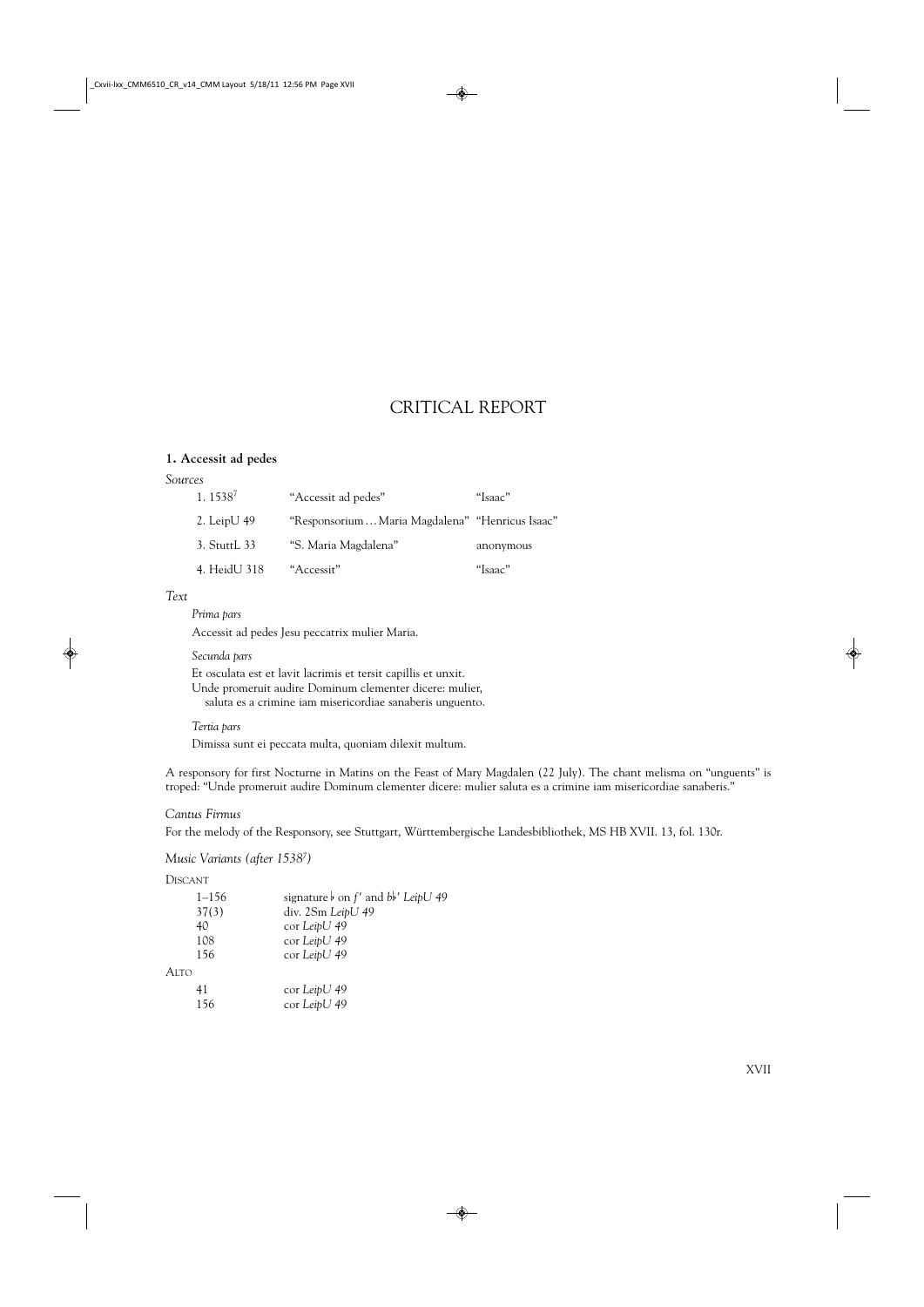## CRITICAL REPORT

### **1. Accessit ad pedes**

### *Sources*

| 1.1538 <sup>7</sup> | "Accessit ad pedes"                            | "Isaac"   |
|---------------------|------------------------------------------------|-----------|
| 2. Leip $U$ 49      | "ResponsoriumMaria Magdalena" "Henricus Isaac" |           |
| 3. StuttL 33        | "S. Maria Magdalena"                           | anonymous |
| 4. HeidU 318        | "Accessit"                                     | "Isaac"   |

#### *Text*

*Prima pars*

Accessit ad pedes Jesu peccatrix mulier Maria.

#### *Secunda pars*

Et osculata est et lavit lacrimis et tersit capillis et unxit. Unde promeruit audire Dominum clementer dicere: mulier, saluta es a crimine iam misericordiae sanaberis unguento.

#### *Tertia pars*

Dimissa sunt ei peccata multa, quoniam dilexit multum.

A responsory for first Nocturne in Matins on the Feast of Mary Magdalen (22 July). The chant melisma on "unguents" is troped: "Unde promeruit audire Dominum clementer dicere: mulier saluta es a crimine iam misericordiae sanaberis."

### *Cantus Firmus*

For the melody of the Responsory, see Stuttgart, Württembergische Landesbibliothek, MS HB XVII. 13, fol. 130r.

### *Music Variants (after 15387 )*

DISCANT

| $1 - 156$ | signature $\flat$ on f' and $bb'$ LeipU 49 |
|-----------|--------------------------------------------|
| 37(3)     | div. 2Sm LeipU 49                          |
| 40        | cor LeipU 49                               |
| 108       | cor LeipU 49                               |
| 156       | cor LeipU 49                               |
| Alto      |                                            |
| 41        | cor LeipU 49                               |
| 156       | cor LeipU 49                               |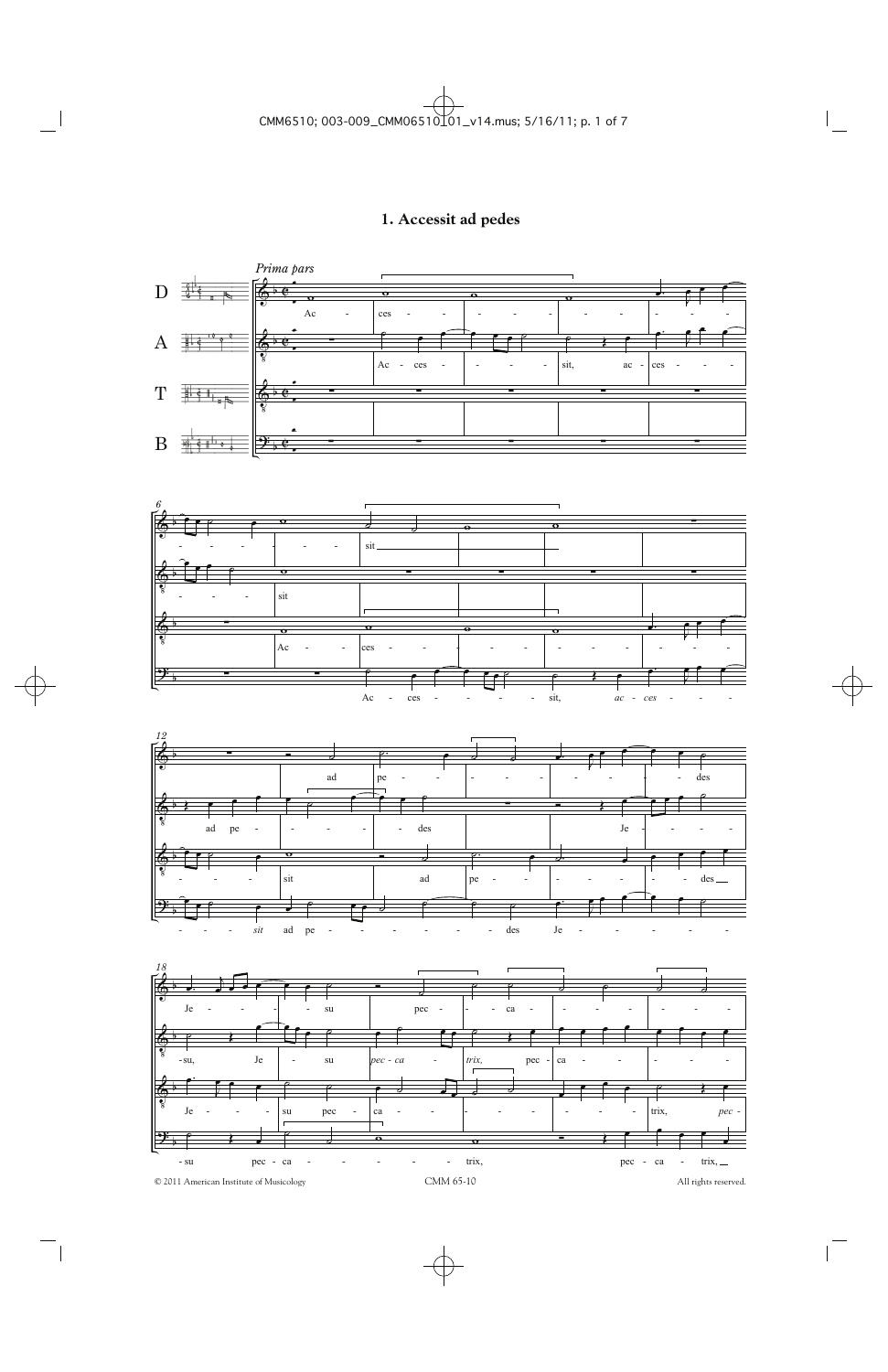## 1. Accessit ad pedes

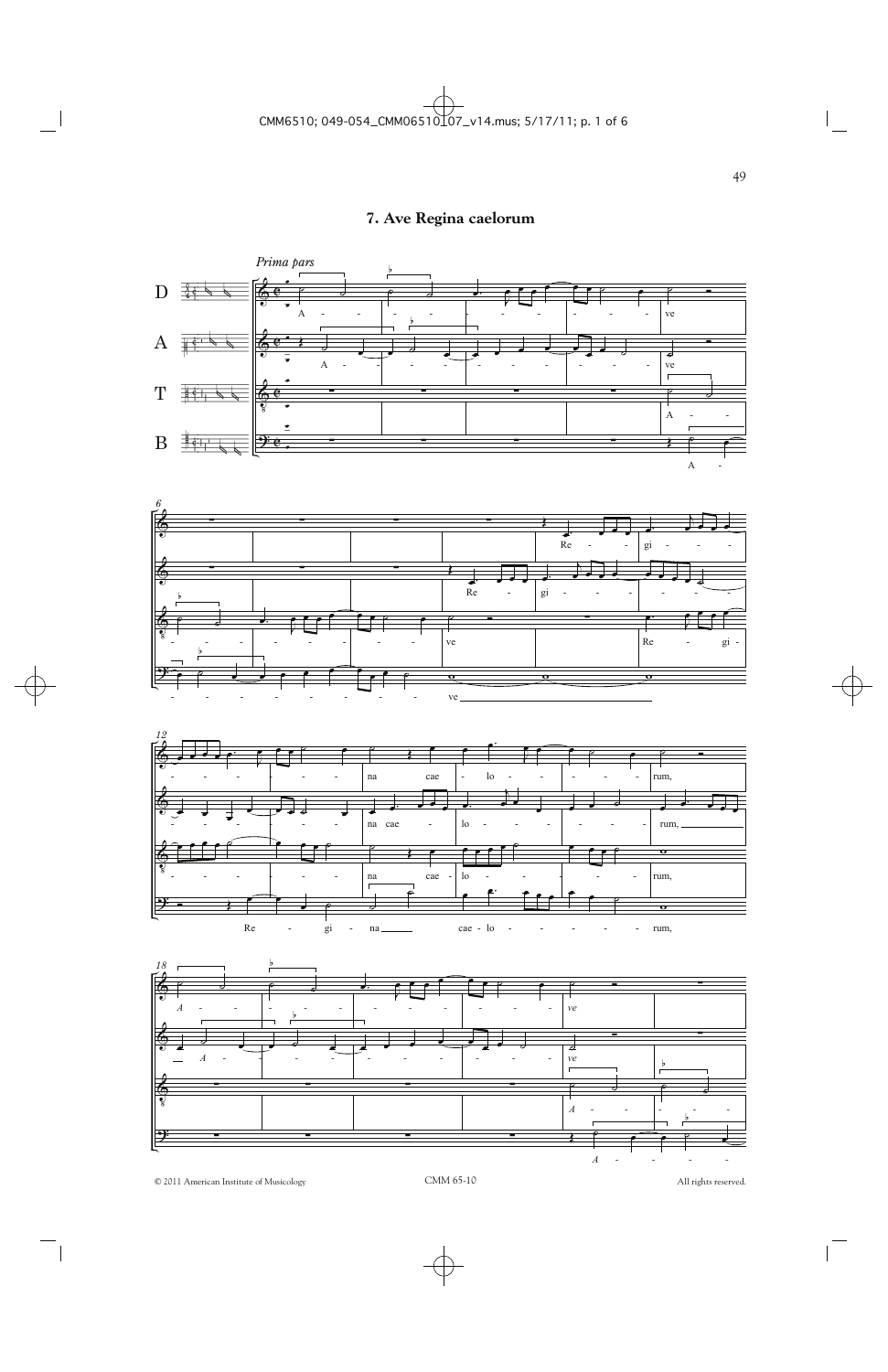## 7. Ave Regina caelorum



All rights reserved.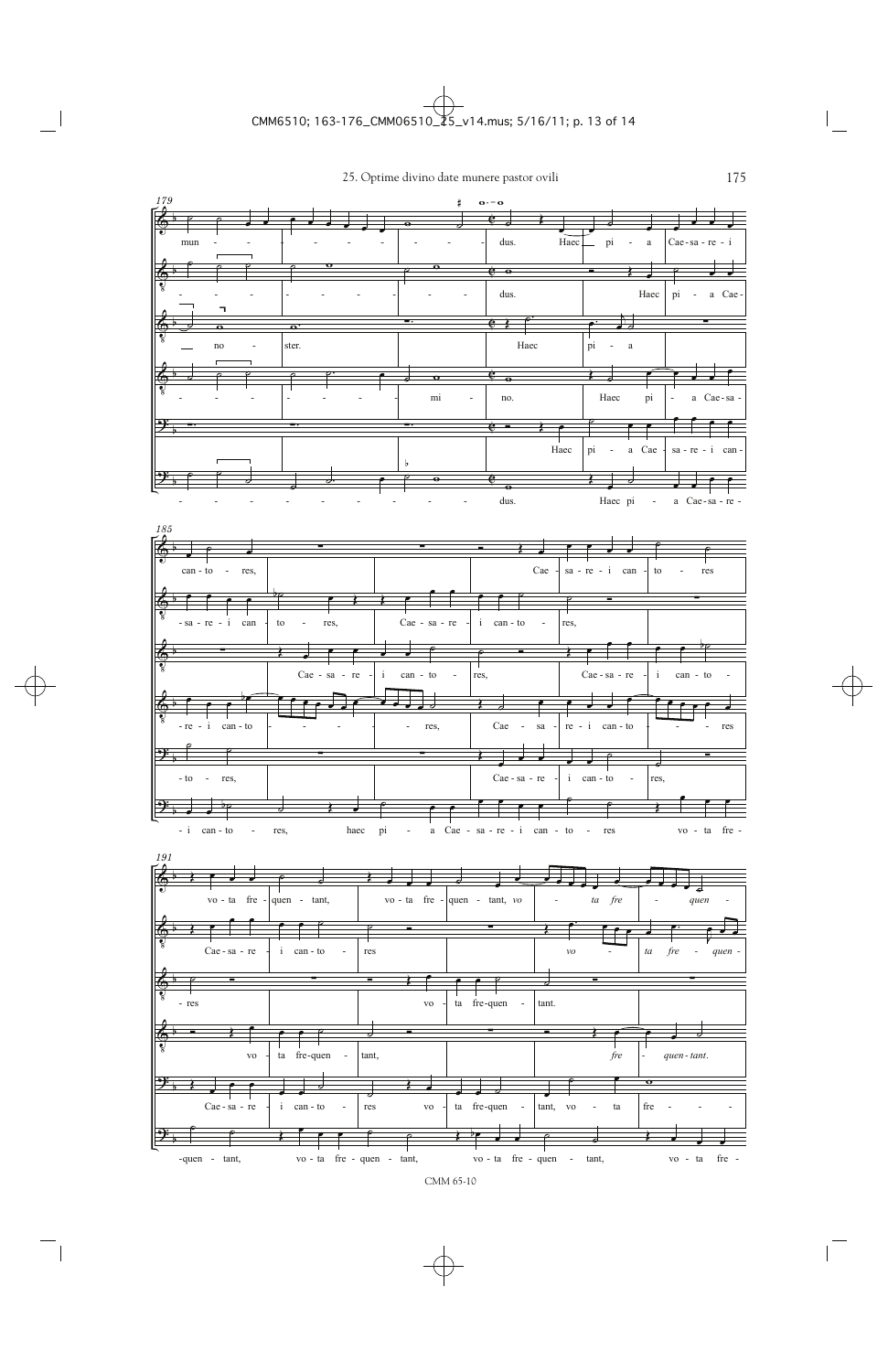